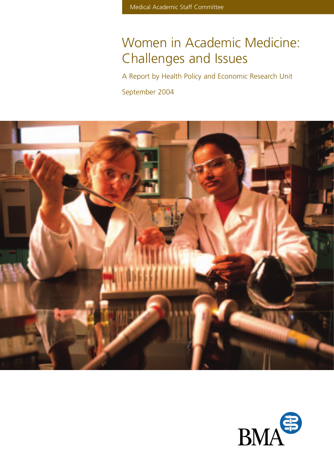# Women in Academic Medicine: Challenges and Issues

A Report by Health Policy and Economic Research Unit

September 2004



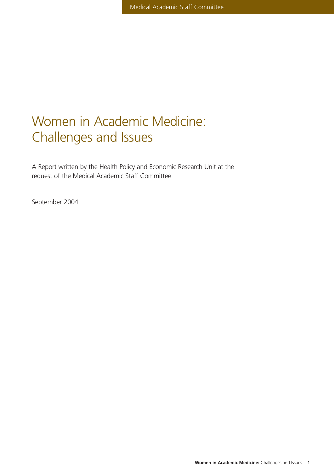## Women in Academic Medicine: Challenges and Issues

A Report written by the Health Policy and Economic Research Unit at the request of the Medical Academic Staff Committee

September 2004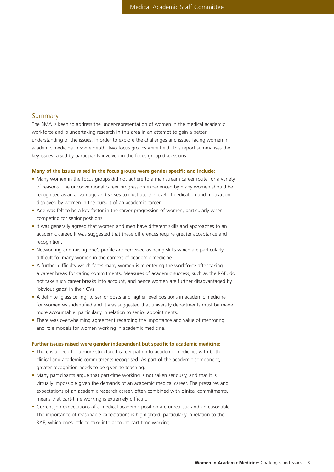## Summary

The BMA is keen to address the under-representation of women in the medical academic workforce and is undertaking research in this area in an attempt to gain a better understanding of the issues. In order to explore the challenges and issues facing women in academic medicine in some depth, two focus groups were held. This report summarises the key issues raised by participants involved in the focus group discussions.

#### **Many of the issues raised in the focus groups were gender specific and include:**

- Many women in the focus groups did not adhere to a mainstream career route for a variety of reasons. The unconventional career progression experienced by many women should be recognised as an advantage and serves to illustrate the level of dedication and motivation displayed by women in the pursuit of an academic career.
- Age was felt to be a key factor in the career progression of women, particularly when competing for senior positions.
- It was generally agreed that women and men have different skills and approaches to an academic career. It was suggested that these differences require greater acceptance and recognition.
- Networking and raising one's profile are perceived as being skills which are particularly difficult for many women in the context of academic medicine.
- A further difficulty which faces many women is re-entering the workforce after taking a career break for caring commitments. Measures of academic success, such as the RAE, do not take such career breaks into account, and hence women are further disadvantaged by 'obvious gaps' in their CVs.
- A definite 'glass ceiling' to senior posts and higher level positions in academic medicine for women was identified and it was suggested that university departments must be made more accountable, particularly in relation to senior appointments.
- There was overwhelming agreement regarding the importance and value of mentoring and role models for women working in academic medicine.

#### **Further issues raised were gender independent but specific to academic medicine:**

- There is a need for a more structured career path into academic medicine, with both clinical and academic commitments recognised. As part of the academic component, greater recognition needs to be given to teaching.
- Many participants argue that part-time working is not taken seriously, and that it is virtually impossible given the demands of an academic medical career. The pressures and expectations of an academic research career, often combined with clinical commitments, means that part-time working is extremely difficult.
- Current job expectations of a medical academic position are unrealistic and unreasonable. The importance of reasonable expectations is highlighted, particularly in relation to the RAE, which does little to take into account part-time working.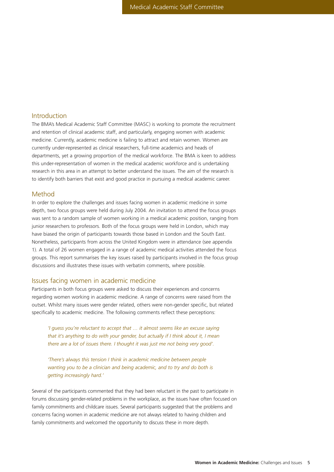## Introduction

The BMA's Medical Academic Staff Committee (MASC) is working to promote the recruitment and retention of clinical academic staff, and particularly, engaging women with academic medicine. Currently, academic medicine is failing to attract and retain women. Women are currently under-represented as clinical researchers, full-time academics and heads of departments, yet a growing proportion of the medical workforce. The BMA is keen to address this under-representation of women in the medical academic workforce and is undertaking research in this area in an attempt to better understand the issues. The aim of the research is to identify both barriers that exist and good practice in pursuing a medical academic career.

## Method

In order to explore the challenges and issues facing women in academic medicine in some depth, two focus groups were held during July 2004. An invitation to attend the focus groups was sent to a random sample of women working in a medical academic position, ranging from junior researchers to professors. Both of the focus groups were held in London, which may have biased the origin of participants towards those based in London and the South East. Nonetheless, participants from across the United Kingdom were in attendance (see appendix 1). A total of 26 women engaged in a range of academic medical activities attended the focus groups. This report summarises the key issues raised by participants involved in the focus group discussions and illustrates these issues with verbatim comments, where possible.

## Issues facing women in academic medicine

Participants in both focus groups were asked to discuss their experiences and concerns regarding women working in academic medicine. A range of concerns were raised from the outset. Whilst many issues were gender related, others were non-gender specific, but related specifically to academic medicine. The following comments reflect these perceptions:

*'I guess you're reluctant to accept that … it almost seems like an excuse saying that it's anything to do with your gender, but actually if I think about it, I mean there are a lot of issues there. I thought it was just me not being very good'.*

*'There's always this tension I think in academic medicine between people wanting you to be a clinician and being academic, and to try and do both is getting increasingly hard.'*

Several of the participants commented that they had been reluctant in the past to participate in forums discussing gender-related problems in the workplace, as the issues have often focused on family commitments and childcare issues. Several participants suggested that the problems and concerns facing women in academic medicine are not always related to having children and family commitments and welcomed the opportunity to discuss these in more depth.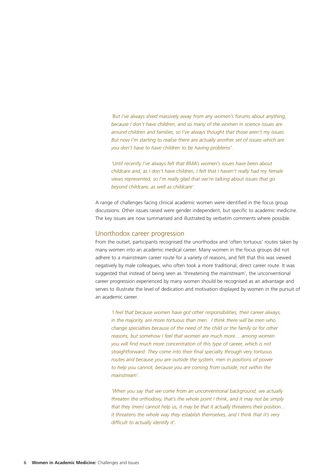*'But I've always shied massively away from any women's forums about anything, because I don't have children, and so many of the women in science issues are around children and families, so I've always thought that those aren't my issues. But now I'm starting to realise there are actually another set of issues which are you don't have to have children to be having problems'.*

*'Until recently I've always felt that BMA's women's issues have been about childcare and, as I don't have children, I felt that I haven't really had my female views represented, so I'm really glad that we're talking about issues that go beyond childcare, as well as childcare'.*

A range of challenges facing clinical academic women were identified in the focus group discussions. Other issues raised were gender independent, but specific to academic medicine. The key issues are now summarised and illustrated by verbatim comments where possible.

## Unorthodox career progression

From the outset, participants recognised the unorthodox and 'often tortuous' routes taken by many women into an academic medical career. Many women in the focus groups did not adhere to a mainstream career route for a variety of reasons, and felt that this was viewed negatively by male colleagues, who often took a more traditional, direct career route. It was suggested that instead of being seen as 'threatening the mainstream', the unconventional career progression experienced by many women should be recognised as an advantage and serves to illustrate the level of dedication and motivation displayed by women in the pursuit of an academic career.

*'I feel that because women have got other responsibilities, their career always, in the majority, are more tortuous than men. I think there will be men who change specialties because of the need of the child or the family or for other reasons, but somehow I feel that women are much more… among women you will find much more concentration of this type of career, which is not straightforward. They come into their final specialty through very tortuous routes and because you are outside the system, men in positions of power to help you cannot, because you are coming from outside, not within the mainstream'.*

*'When you say that we come from an unconventional background, we actually threaten the orthodoxy, that's the whole point I think, and it may not be simply that they (men) cannot help us, it may be that it actually threatens their position… it threatens the whole way they establish themselves, and I think that it's very difficult to actually identify it'.*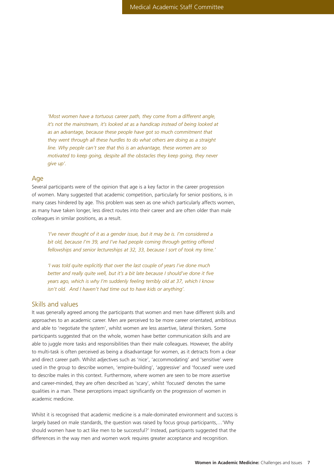*'Most women have a tortuous career path, they come from a different angle, it's not the mainstream, it's looked at as a handicap instead of being looked at as an advantage, because these people have got so much commitment that they went through all these hurdles to do what others are doing as a straight line. Why people can't see that this is an advantage, these women are so motivated to keep going, despite all the obstacles they keep going, they never give up'.*

#### Age

Several participants were of the opinion that age is a key factor in the career progression of women. Many suggested that academic competition, particularly for senior positions, is in many cases hindered by age. This problem was seen as one which particularly affects women, as many have taken longer, less direct routes into their career and are often older than male colleagues in similar positions, as a result.

*'I've never thought of it as a gender issue, but it may be is. I'm considered a bit old, because I'm 39, and I've had people coming through getting offered fellowships and senior lectureships at 32, 33, because I sort of took my time.'*

*'I was told quite explicitly that over the last couple of years I've done much better and really quite well, but it's a bit late because I should've done it five years ago, which is why I'm suddenly feeling terribly old at 37, which I know isn't old. And I haven't had time out to have kids or anything'.*

## Skills and values

It was generally agreed among the participants that women and men have different skills and approaches to an academic career. Men are perceived to be more career orientated, ambitious and able to 'negotiate the system', whilst women are less assertive, lateral thinkers. Some participants suggested that on the whole, women have better communication skills and are able to juggle more tasks and responsibilities than their male colleagues. However, the ability to multi-task is often perceived as being a disadvantage for women, as it detracts from a clear and direct career path. Whilst adjectives such as 'nice', 'accommodating' and 'sensitive' were used in the group to describe women, 'empire-building', 'aggressive' and 'focused' were used to describe males in this context. Furthermore, where women are seen to be more assertive and career-minded, they are often described as 'scary', whilst 'focused' denotes the same qualities in a man. These perceptions impact significantly on the progression of women in academic medicine.

Whilst it is recognised that academic medicine is a male-dominated environment and success is largely based on male standards, the question was raised by focus group participants,…'Why should women have to act like men to be successful?' Instead, participants suggested that the differences in the way men and women work requires greater acceptance and recognition.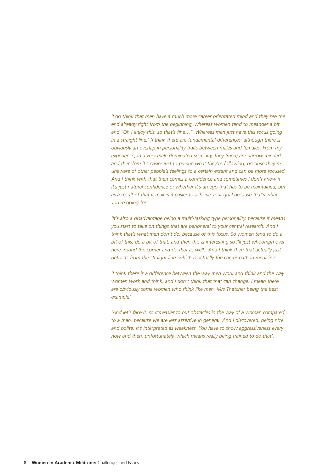*'I do think that men have a much more career orientated mind and they see the end already right from the beginning, whereas women tend to meander a bit and "Oh I enjoy this, so that's fine…". Whereas men just have this focus going in a straight line.' 'I think there are fundamental differences, although there is obviously an overlap in personality traits between males and females. From my experience, in a very male dominated specialty, they (men) are narrow minded and therefore it's easier just to pursue what they're following, because they're unaware of other people's feelings to a certain extent and can be more focused. And I think with that then comes a confidence and sometimes I don't know if it's just natural confidence or whether it's an ego that has to be maintained, but as a result of that it makes it easier to achieve your goal because that's what you're going for'.*

*'It's also a disadvantage being a multi-tasking type personality, because it means you start to take on things that are peripheral to your central research. And I think that's what men don't do, because of this focus. So women tend to do a bit of this, do a bit of that, and then this is interesting so I'll just whoomph over here, round the corner and do that as well. And I think then that actually just detracts from the straight line, which is actually the career path in medicine'.*

*'I think there is a difference between the way men work and think and the way women work and think, and I don't think that that can change. I mean there are obviously some women who think like men, Mrs Thatcher being the best example'.*

*'And let's face it, so it's easier to put obstacles in the way of a woman compared to a man, because we are less assertive in general. And I discovered, being nice and polite, it's interpreted as weakness. You have to show aggressiveness every now and then, unfortunately, which means really being trained to do that'.*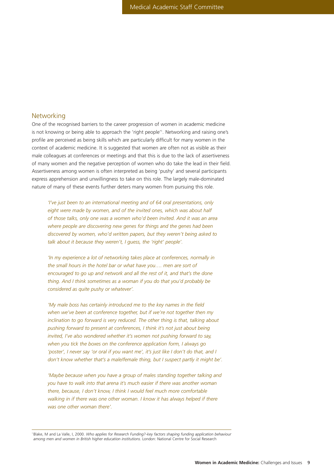#### **Networking**

One of the recognised barriers to the career progression of women in academic medicine is not knowing or being able to approach the 'right people'1 . Networking and raising one's profile are perceived as being skills which are particularly difficult for many women in the context of academic medicine. It is suggested that women are often not as visible as their male colleagues at conferences or meetings and that this is due to the lack of assertiveness of many women and the negative perception of women who do take the lead in their field. Assertiveness among women is often interpreted as being 'pushy' and several participants express apprehension and unwillingness to take on this role. The largely male-dominated nature of many of these events further deters many women from pursuing this role.

*'I've just been to an international meeting and of 64 oral presentations, only eight were made by women, and of the invited ones, which was about half of those talks, only one was a women who'd been invited. And it was an area where people are discovering new genes for things and the genes had been discovered by women, who'd written papers, but they weren't being asked to talk about it because they weren't, I guess, the 'right' people'.* 

*'In my experience a lot of networking takes place at conferences, normally in the small hours in the hotel bar or what have you…. men are sort of encouraged to go up and network and all the rest of it, and that's the done thing. And I think sometimes as a woman if you do that you'd probably be considered as quite pushy or whatever'.*

*'My male boss has certainly introduced me to the key names in the field when we've been at conference together, but if we're not together then my inclination to go forward is very reduced. The other thing is that, talking about pushing forward to present at conferences, I think it's not just about being invited, I've also wondered whether it's women not pushing forward to say, when you tick the boxes on the conference application form, I always go 'poster', I never say 'or oral if you want me', it's just like I don't do that, and I don't know whether that's a male/female thing, but I suspect partly it might be'.*

*'Maybe because when you have a group of males standing together talking and you have to walk into that arena it's much easier if there was another woman there, because, I don't know, I think I would feel much more comfortable walking in if there was one other woman. I know it has always helped if there was one other woman there'.*

<sup>1</sup> Blake, M and La Valle, I, 2000. *Who applies for Research Funding?-key factors shaping funding application behaviour among men and women in British higher education institutions.* London: National Centre for Social Research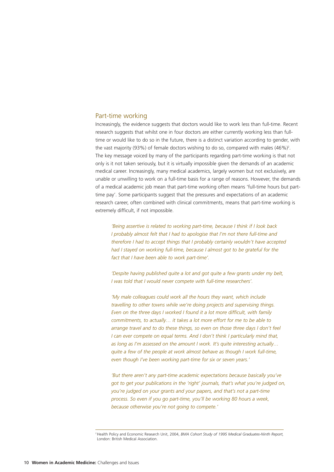#### Part-time working

Increasingly, the evidence suggests that doctors would like to work less than full-time. Recent research suggests that whilst one in four doctors are either currently working less than fulltime or would like to do so in the future, there is a distinct variation according to gender, with the vast majority (93%) of female doctors wishing to do so, compared with males  $(46%)^2$ . The key message voiced by many of the participants regarding part-time working is that not only is it not taken seriously, but it is virtually impossible given the demands of an academic medical career. Increasingly, many medical academics, largely women but not exclusively, are unable or unwilling to work on a full-time basis for a range of reasons. However, the demands of a medical academic job mean that part-time working often means 'full-time hours but parttime pay'. Some participants suggest that the pressures and expectations of an academic research career, often combined with clinical commitments, means that part-time working is extremely difficult, if not impossible.

*'Being assertive is related to working part-time, because I think if I look back I probably almost felt that I had to apologise that I'm not there full-time and therefore I had to accept things that I probably certainly wouldn't have accepted had I stayed on working full-time, because I almost got to be grateful for the fact that I have been able to work part-time'.*

*'Despite having published quite a lot and got quite a few grants under my belt, I was told that I would never compete with full-time researchers'.*

*'My male colleagues could work all the hours they want, which include travelling to other towns while we're doing projects and supervising things. Even on the three days I worked I found it a lot more difficult, with family commitments, to actually… it takes a lot more effort for me to be able to arrange travel and to do these things, so even on those three days I don't feel I can ever compete on equal terms. And I don't think I particularly mind that, as long as I'm assessed on the amount I work. It's quite interesting actually… quite a few of the people at work almost behave as though I work full-time, even though I've been working part-time for six or seven years.'*

*'But there aren't any part-time academic expectations because basically you've got to get your publications in the 'right' journals, that's what you're judged on, you're judged on your grants and your papers, and that's not a part-time process. So even if you go part-time, you'll be working 80 hours a week, because otherwise you're not going to compete.'* 

<sup>2</sup>Health Policy and Economic Research Unit, 2004, *BMA Cohort Study of 1995 Medical Graduates-Ninth Report,* London: British Medical Association.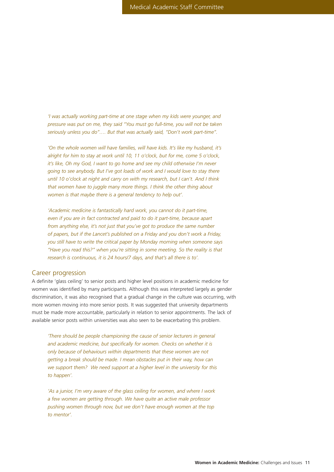*'I was actually working part-time at one stage when my kids were younger, and pressure was put on me, they said "You must go full-time, you will not be taken seriously unless you do"…. But that was actually said, "Don't work part-time".*

*'On the whole women will have families, will have kids. It's like my husband, it's alright for him to stay at work until 10, 11 o'clock, but for me, come 5 o'clock, it's like, Oh my God, I want to go home and see my child otherwise I'm never going to see anybody. But I've got loads of work and I would love to stay there until 10 o'clock at night and carry on with my research, but I can't. And I think that women have to juggle many more things. I think the other thing about women is that maybe there is a general tendency to help out'.*

*'Academic medicine is fantastically hard work, you cannot do it part-time, even if you are in fact contracted and paid to do it part-time, because apart from anything else, it's not just that you've got to produce the same number of papers, but if the Lancet's published on a Friday and you don't work a Friday, you still have to write the critical paper by Monday morning when someone says "Have you read this?" when you're sitting in some meeting. So the reality is that research is continuous, it is 24 hours/7 days, and that's all there is to'.*

#### Career progression

A definite 'glass ceiling' to senior posts and higher level positions in academic medicine for women was identified by many participants. Although this was interpreted largely as gender discrimination, it was also recognised that a gradual change in the culture was occurring, with more women moving into more senior posts. It was suggested that university departments must be made more accountable, particularly in relation to senior appointments. The lack of available senior posts within universities was also seen to be exacerbating this problem.

*'There should be people championing the cause of senior lecturers in general and academic medicine, but specifically for women. Checks on whether it is only because of behaviours within departments that these women are not getting a break should be made. I mean obstacles put in their way, how can we support them? We need support at a higher level in the university for this to happen'.*

*'As a junior, I'm very aware of the glass ceiling for women, and where I work a few women are getting through. We have quite an active male professor pushing women through now, but we don't have enough women at the top to mentor'.*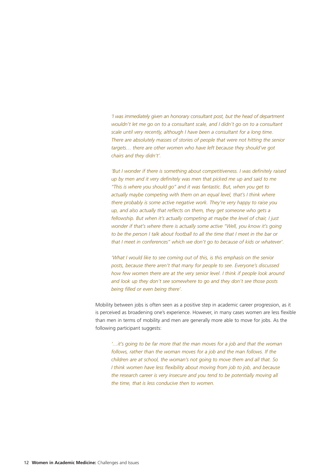*'I was immediately given an honorary consultant post, but the head of department wouldn't let me go on to a consultant scale, and I didn't go on to a consultant scale until very recently, although I have been a consultant for a long time. There are absolutely masses of stories of people that were not hitting the senior targets… there are other women who have left because they should've got chairs and they didn't'.* 

*'But I wonder if there is something about competitiveness. I was definitely raised up by men and it very definitely was men that picked me up and said to me "This is where you should go" and it was fantastic. But, when you get to actually maybe competing with them on an equal level, that's I think where there probably is some active negative work. They're very happy to raise you up, and also actually that reflects on them, they get someone who gets a fellowship. But when it's actually competing at maybe the level of chair, I just wonder if that's where there is actually some active "Well, you know it's going to be the person I talk about football to all the time that I meet in the bar or that I meet in conferences" which we don't go to because of kids or whatever'.*

*'What I would like to see coming out of this, is this emphasis on the senior posts, because there aren't that many for people to see. Everyone's discussed how few women there are at the very senior level. I think if people look around and look up they don't see somewhere to go and they don't see those posts being filled or even being there'.*

Mobility between jobs is often seen as a positive step in academic career progression, as it is perceived as broadening one's experience. However, in many cases women are less flexible than men in terms of mobility and men are generally more able to move for jobs. As the following participant suggests:

*'…it's going to be far more that the man moves for a job and that the woman follows, rather than the woman moves for a job and the man follows. If the children are at school, the woman's not going to move them and all that. So I think women have less flexibility about moving from job to job, and because the research career is very insecure and you tend to be potentially moving all the time, that is less conducive then to women.*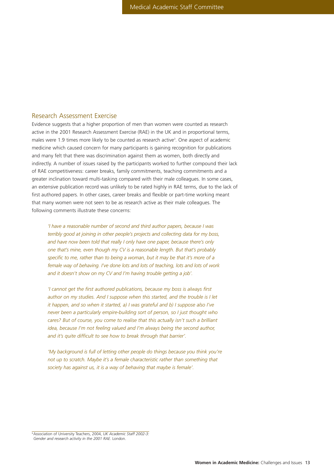## Research Assessment Exercise

Evidence suggests that a higher proportion of men than women were counted as research active in the 2001 Research Assessment Exercise (RAE) in the UK and in proportional terms, males were 1.9 times more likely to be counted as research active<sup>3</sup>. One aspect of academic medicine which caused concern for many participants is gaining recognition for publications and many felt that there was discrimination against them as women, both directly and indirectly. A number of issues raised by the participants worked to further compound their lack of RAE competitiveness: career breaks, family commitments, teaching commitments and a greater inclination toward multi-tasking compared with their male colleagues. In some cases, an extensive publication record was unlikely to be rated highly in RAE terms, due to the lack of first authored papers. In other cases, career breaks and flexible or part-time working meant that many women were not seen to be as research active as their male colleagues. The following comments illustrate these concerns:

*'I have a reasonable number of second and third author papers, because I was terribly good at joining in other people's projects and collecting data for my boss, and have now been told that really I only have one paper, because there's only one that's mine, even though my CV is a reasonable length. But that's probably specific to me, rather than to being a woman, but it may be that it's more of a female way of behaving. I've done lots and lots of teaching, lots and lots of work* and it doesn't show on my CV and I'm having trouble getting a job'.

*'I cannot get the first authored publications, because my boss is always first author on my studies. And I suppose when this started, and the trouble is I let it happen, and so when it started, a) I was grateful and b) I suppose also I've never been a particularly empire-building sort of person, so I just thought who cares? But of course, you come to realise that this actually isn't such a brilliant idea, because I'm not feeling valued and I'm always being the second author, and it's quite difficult to see how to break through that barrier'.*

*'My background is full of letting other people do things because you think you're not up to scratch. Maybe it's a female characteristic rather than something that society has against us, it is a way of behaving that maybe is female'.*

<sup>3</sup>Association of University Teachers, 2004, *UK Academic Staff 2002-3: Gender and research activity in the 2001 RAE.* London.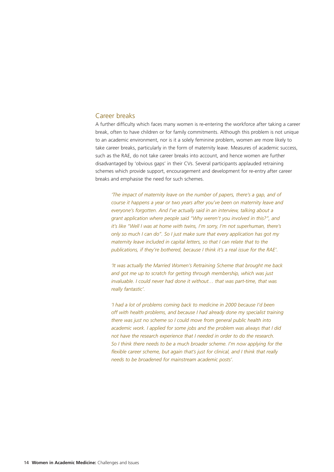## Career breaks

A further difficulty which faces many women is re-entering the workforce after taking a career break, often to have children or for family commitments. Although this problem is not unique to an academic environment, nor is it a solely feminine problem, women are more likely to take career breaks, particularly in the form of maternity leave. Measures of academic success, such as the RAE, do not take career breaks into account, and hence women are further disadvantaged by 'obvious gaps' in their CVs. Several participants applauded retraining schemes which provide support, encouragement and development for re-entry after career breaks and emphasise the need for such schemes.

*'The impact of maternity leave on the number of papers, there's a gap, and of course it happens a year or two years after you've been on maternity leave and everyone's forgotten. And I've actually said in an interview, talking about a grant application where people said "Why weren't you involved in this?", and it's like "Well I was at home with twins, I'm sorry, I'm not superhuman, there's only so much I can do". So I just make sure that every application has got my maternity leave included in capital letters, so that I can relate that to the publications, if they're bothered, because I think it's a real issue for the RAE'.*

*'It was actually the Married Women's Retraining Scheme that brought me back and got me up to scratch for getting through membership, which was just invaluable. I could never had done it without… that was part-time, that was really fantastic'.*

*'I had a lot of problems coming back to medicine in 2000 because I'd been off with health problems, and because I had already done my specialist training there was just no scheme so I could move from general public health into academic work. I applied for some jobs and the problem was always that I did not have the research experience that I needed in order to do the research. So I think there needs to be a much broader scheme. I'm now applying for the flexible career scheme, but again that's just for clinical, and I think that really needs to be broadened for mainstream academic posts'.*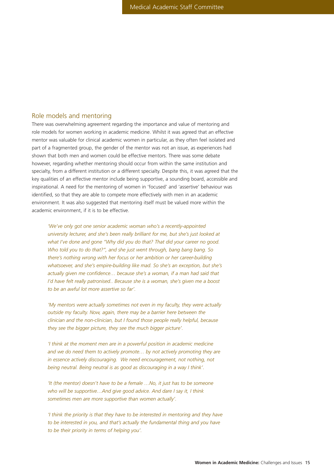## Role models and mentoring

There was overwhelming agreement regarding the importance and value of mentoring and role models for women working in academic medicine. Whilst it was agreed that an effective mentor was valuable for clinical academic women in particular, as they often feel isolated and part of a fragmented group, the gender of the mentor was not an issue, as experiences had shown that both men and women could be effective mentors. There was some debate however, regarding whether mentoring should occur from within the same institution and specialty, from a different institution or a different specialty. Despite this, it was agreed that the key qualities of an effective mentor include being supportive, a sounding board, accessible and inspirational. A need for the mentoring of women in 'focused' and 'assertive' behaviour was identified, so that they are able to compete more effectively with men in an academic environment. It was also suggested that mentoring itself must be valued more within the academic environment, if it is to be effective.

*'We've only got one senior academic woman who's a recently-appointed university lecturer, and she's been really brilliant for me, but she's just looked at what I've done and gone "Why did you do that? That did your career no good. Who told you to do that?", and she just went through, bang bang bang. So there's nothing wrong with her focus or her ambition or her career-building whatsoever, and she's empire-building like mad. So she's an exception, but she's actually given me confidence… because she's a woman, if a man had said that I'd have felt really patronised.. Because she is a woman, she's given me a boost to be an awful lot more assertive so far'.* 

*'My mentors were actually sometimes not even in my faculty, they were actually outside my faculty. Now, again, there may be a barrier here between the clinician and the non-clinician, but I found those people really helpful, because they see the bigger picture, they see the much bigger picture'.*

*'I think at the moment men are in a powerful position in academic medicine and we do need them to actively promote… by not actively promoting they are in essence actively discouraging. We need encouragement, not nothing, not being neutral. Being neutral is as good as discouraging in a way I think'.*

*'It (the mentor) doesn't have to be a female …No, it just has to be someone who will be supportive…And give good advice. And dare I say it, I think sometimes men are more supportive than women actually'.*

*'I think the priority is that they have to be interested in mentoring and they have to be interested in you, and that's actually the fundamental thing and you have to be their priority in terms of helping you'.*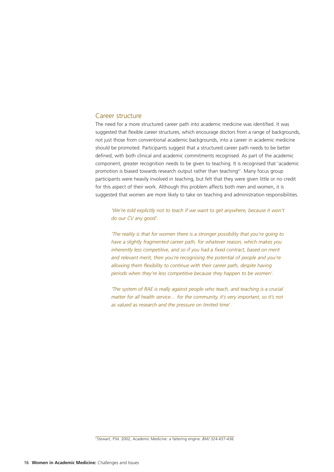#### Career structure

The need for a more structured career path into academic medicine was identified. It was suggested that flexible career structures, which encourage doctors from a range of backgrounds, not just those from conventional academic backgrounds, into a career in academic medicine should be promoted. Participants suggest that a structured career path needs to be better defined, with both clinical and academic commitments recognised. As part of the academic component, greater recognition needs to be given to teaching. It is recognised that 'academic promotion is biased towards research output rather than teaching<sup>4</sup>'. Many focus group participants were heavily involved in teaching, but felt that they were given little or no credit for this aspect of their work. Although this problem affects both men and women, it is suggested that women are more likely to take on teaching and administration responsibilities.

*'We're told explicitly not to teach if we want to get anywhere, because it won't do our CV any good'.*

*'The reality is that for women there is a stronger possibility that you're going to have a slightly fragmented career path, for whatever reason, which makes you inherently less competitive, and so if you had a fixed contract, based on merit and relevant merit, then you're recognising the potential of people and you're allowing them flexibility to continue with their career path, despite having periods when they're less competitive because they happen to be women'.*

*'The system of RAE is really against people who teach, and teaching is a crucial matter for all health service… for the community, it's very important, so it's not as valued as research and the pressure on limited time'.*

<sup>4</sup> Stewart, P.M. 2002, Academic Medicine: a faltering engine. *BMJ* 324:437-438.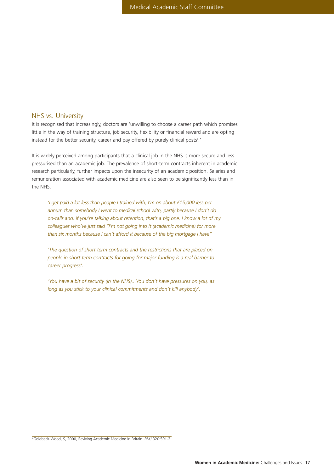## NHS vs. University

It is recognised that increasingly, doctors are 'unwilling to choose a career path which promises little in the way of training structure, job security, flexibility or financial reward and are opting instead for the better security, career and pay offered by purely clinical posts<sup>5</sup>.'

It is widely perceived among participants that a clinical job in the NHS is more secure and less pressurised than an academic job. The prevalence of short-term contracts inherent in academic research particularly, further impacts upon the insecurity of an academic position. Salaries and remuneration associated with academic medicine are also seen to be significantly less than in the NHS.

*'I get paid a lot less than people I trained with, I'm on about £15,000 less per annum than somebody I went to medical school with, partly because I don't do on-calls and, if you're talking about retention, that's a big one. I know a lot of my colleagues who've just said "I'm not going into it (academic medicine) for more than six months because I can't afford it because of the big mortgage I have"*

*'The question of short term contracts and the restrictions that are placed on people in short term contracts for going for major funding is a real barrier to career progress'.*

*'You have a bit of security (in the NHS)...You don't have pressures on you, as long as you stick to your clinical commitments and don't kill anybody'.*

5Goldbeck-Wood, S, 2000, Reviving Academic Medicine in Britain. *BMJ* 320:591-2.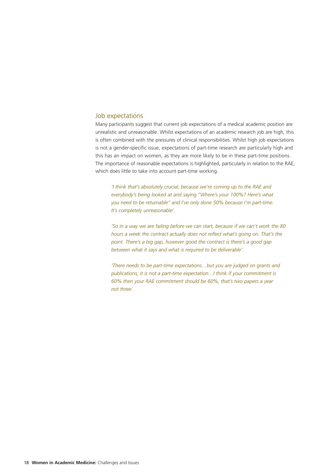## Job expectations

Many participants suggest that current job expectations of a medical academic position are unrealistic and unreasonable. Whilst expectations of an academic research job are high, this is often combined with the pressures of clinical responsibilities. Whilst high job expectations is not a gender-specific issue, expectations of part-time research are particularly high and this has an impact on women, as they are more likely to be in these part-time positions. The importance of reasonable expectations is highlighted, particularly in relation to the RAE, which does little to take into account part-time working.

*'I think that's absolutely crucial, because we're coming up to the RAE and everybody's being looked at and saying "Where's your 100%? Here's what you need to be returnable" and I've only done 50% because I'm part-time. It's completely unreasonable'.*

*'So in a way we are failing before we can start, because if we can't work the 80 hours a week the contract actually does not reflect what's going on. That's the point. There's a big gap, however good the contract is there's a good gap between what it says and what is required to be deliverable'.*

*'There needs to be part-time expectations…but you are judged on grants and publications, it is not a part-time expectation…I think if your commitment is 60% then your RAE commitment should be 60%, that's two papers a year not three'.*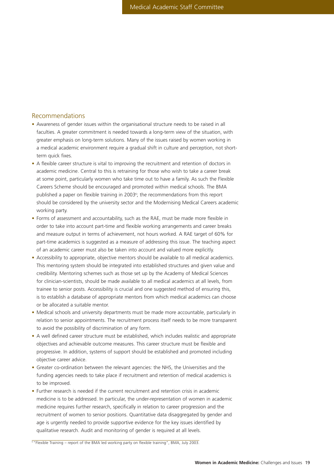## Recommendations

- Awareness of gender issues within the organisational structure needs to be raised in all faculties. A greater commitment is needed towards a long-term view of the situation, with greater emphasis on long-term solutions. Many of the issues raised by women working in a medical academic environment require a gradual shift in culture and perception, not shortterm quick fixes.
- A flexible career structure is vital to improving the recruitment and retention of doctors in academic medicine. Central to this is retraining for those who wish to take a career break at some point, particularly women who take time out to have a family. As such the Flexible Careers Scheme should be encouraged and promoted within medical schools. The BMA published a paper on flexible training in 2003<sup>6</sup>; the recommendations from this report should be considered by the university sector and the Modernising Medical Careers academic working party.
- Forms of assessment and accountability, such as the RAE, must be made more flexible in order to take into account part-time and flexible working arrangements and career breaks and measure output in terms of achievement, not hours worked. A RAE target of 60% for part-time academics is suggested as a measure of addressing this issue. The teaching aspect of an academic career must also be taken into account and valued more explicitly.
- Accessibility to appropriate, objective mentors should be available to all medical academics. This mentoring system should be integrated into established structures and given value and credibility. Mentoring schemes such as those set up by the Academy of Medical Sciences for clinician-scientists, should be made available to all medical academics at all levels, from trainee to senior posts. Accessibility is crucial and one suggested method of ensuring this, is to establish a database of appropriate mentors from which medical academics can choose or be allocated a suitable mentor.
- Medical schools and university departments must be made more accountable, particularly in relation to senior appointments. The recruitment process itself needs to be more transparent to avoid the possibility of discrimination of any form.
- A well defined career structure must be established, which includes realistic and appropriate objectives and achievable outcome measures. This career structure must be flexible and progressive. In addition, systems of support should be established and promoted including objective career advice.
- Greater co-ordination between the relevant agencies: the NHS, the Universities and the funding agencies needs to take place if recruitment and retention of medical academics is to be improved.
- Further research is needed if the current recruitment and retention crisis in academic medicine is to be addressed. In particular, the under-representation of women in academic medicine requires further research, specifically in relation to career progression and the recruitment of women to senior positions. Quantitative data disaggregated by gender and age is urgently needed to provide supportive evidence for the key issues identified by qualitative research. Audit and monitoring of gender is required at all levels.

 $6$  "Flexible Training – report of the BMA led working party on flexible training", BMA, July 2003.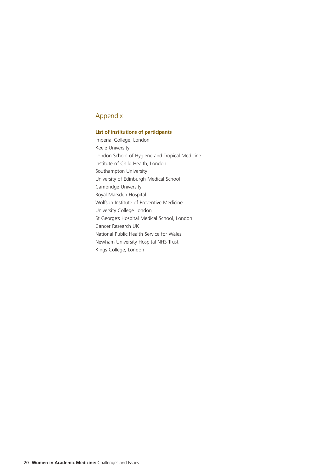## Appendix

## **List of institutions of participants**

Imperial College, London Keele University London School of Hygiene and Tropical Medicine Institute of Child Health, London Southampton University University of Edinburgh Medical School Cambridge University Royal Marsden Hospital Wolfson Institute of Preventive Medicine University College London St George's Hospital Medical School, London Cancer Research UK National Public Health Service for Wales Newham University Hospital NHS Trust Kings College, London